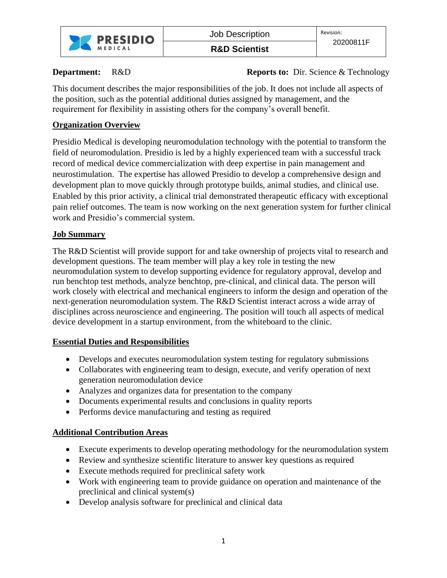

**R&D Scientist**

**Department:** R&D **Reports to:** Dir. Science & Technology

This document describes the major responsibilities of the job. It does not include all aspects of the position, such as the potential additional duties assigned by management, and the requirement for flexibility in assisting others for the company's overall benefit.

## **Organization Overview**

Presidio Medical is developing neuromodulation technology with the potential to transform the field of neuromodulation. Presidio is led by a highly experienced team with a successful track record of medical device commercialization with deep expertise in pain management and neurostimulation. The expertise has allowed Presidio to develop a comprehensive design and development plan to move quickly through prototype builds, animal studies, and clinical use. Enabled by this prior activity, a clinical trial demonstrated therapeutic efficacy with exceptional pain relief outcomes. The team is now working on the next generation system for further clinical work and Presidio's commercial system.

## **Job Summary**

The R&D Scientist will provide support for and take ownership of projects vital to research and development questions. The team member will play a key role in testing the new neuromodulation system to develop supporting evidence for regulatory approval, develop and run benchtop test methods, analyze benchtop, pre-clinical, and clinical data. The person will work closely with electrical and mechanical engineers to inform the design and operation of the next-generation neuromodulation system. The R&D Scientist interact across a wide array of disciplines across neuroscience and engineering. The position will touch all aspects of medical device development in a startup environment, from the whiteboard to the clinic.

## **Essential Duties and Responsibilities**

- Develops and executes neuromodulation system testing for regulatory submissions
- Collaborates with engineering team to design, execute, and verify operation of next generation neuromodulation device
- Analyzes and organizes data for presentation to the company
- Documents experimental results and conclusions in quality reports
- Performs device manufacturing and testing as required

# **Additional Contribution Areas**

- Execute experiments to develop operating methodology for the neuromodulation system
- Review and synthesize scientific literature to answer key questions as required
- Execute methods required for preclinical safety work
- Work with engineering team to provide guidance on operation and maintenance of the preclinical and clinical system(s)
- Develop analysis software for preclinical and clinical data